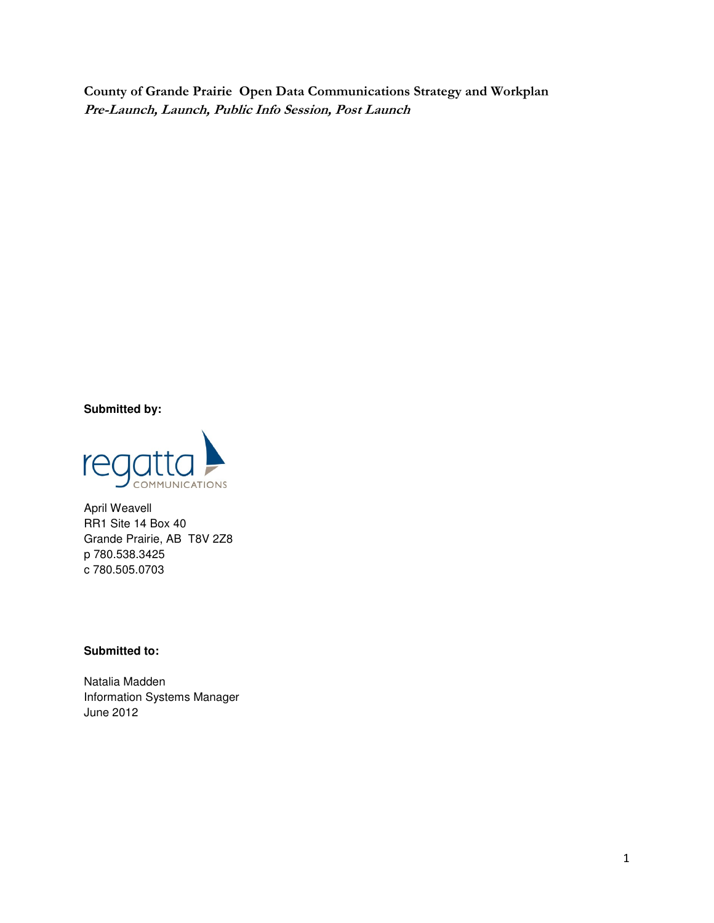County of Grande Prairie Open Data Communications Strategy and Workplan Pre-Launch, Launch, Public Info Session, Post Launch

**Submitted by:** 



April Weavell RR1 Site 14 Box 40 Grande Prairie, AB T8V 2Z8 p 780.538.3425 c 780.505.0703

#### **Submitted to:**

Natalia Madden Information Systems Manager June 2012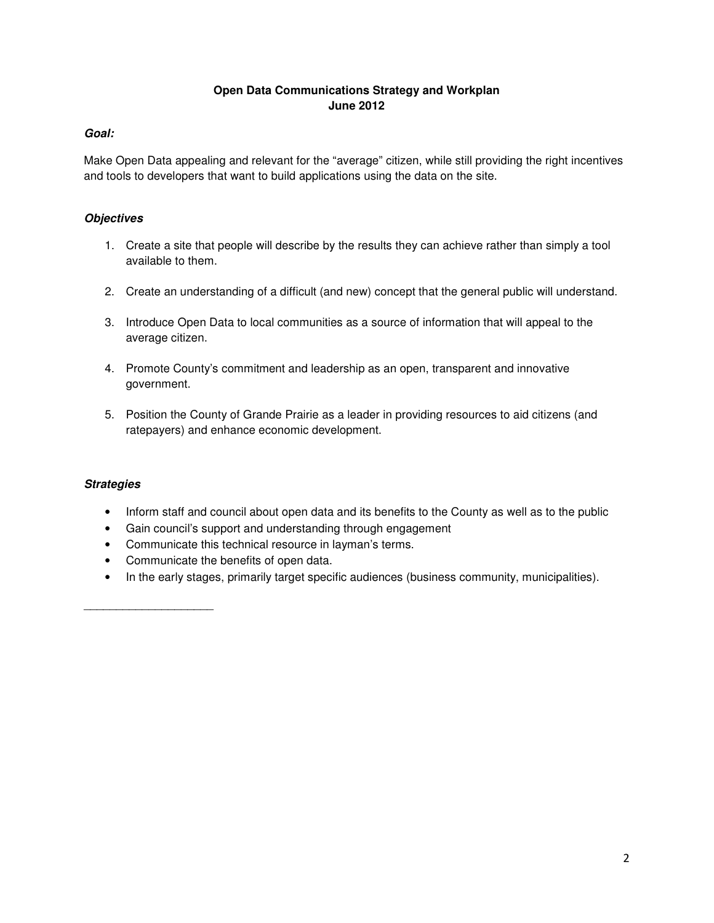# **Open Data Communications Strategy and Workplan June 2012**

## **Goal:**

Make Open Data appealing and relevant for the "average" citizen, while still providing the right incentives and tools to developers that want to build applications using the data on the site.

# **Objectives**

- 1. Create a site that people will describe by the results they can achieve rather than simply a tool available to them.
- 2. Create an understanding of a difficult (and new) concept that the general public will understand.
- 3. Introduce Open Data to local communities as a source of information that will appeal to the average citizen.
- 4. Promote County's commitment and leadership as an open, transparent and innovative government.
- 5. Position the County of Grande Prairie as a leader in providing resources to aid citizens (and ratepayers) and enhance economic development.

# **Strategies**

\_\_\_\_\_\_\_\_\_\_\_\_\_\_\_\_\_\_\_\_

- Inform staff and council about open data and its benefits to the County as well as to the public
- Gain council's support and understanding through engagement
- Communicate this technical resource in layman's terms.
- Communicate the benefits of open data.
- In the early stages, primarily target specific audiences (business community, municipalities).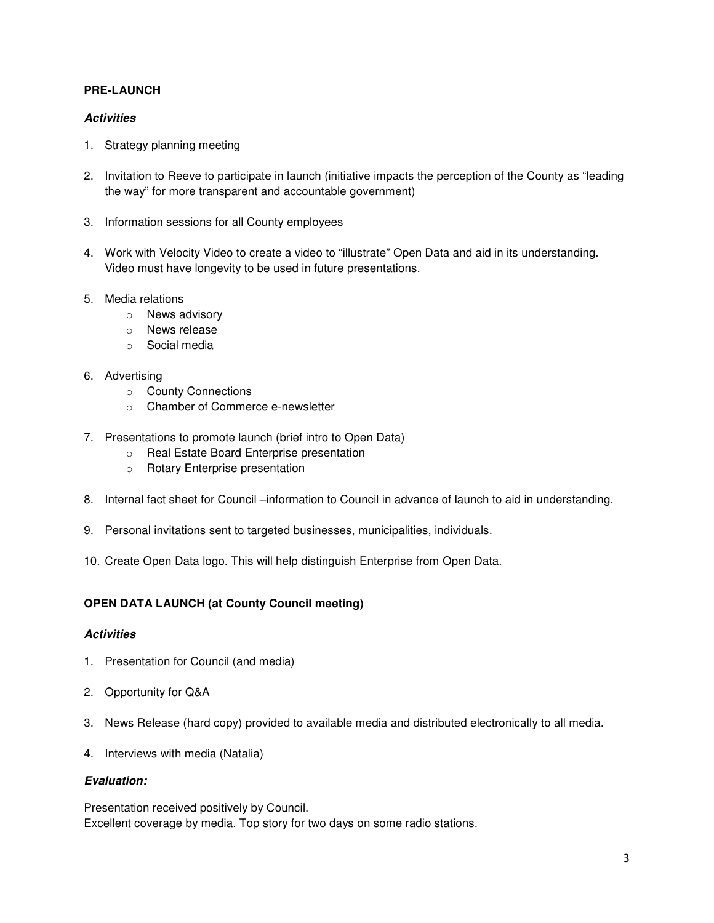## **PRE-LAUNCH**

#### **Activities**

- 1. Strategy planning meeting
- 2. Invitation to Reeve to participate in launch (initiative impacts the perception of the County as "leading the way" for more transparent and accountable government)
- 3. Information sessions for all County employees
- 4. Work with Velocity Video to create a video to "illustrate" Open Data and aid in its understanding. Video must have longevity to be used in future presentations.
- 5. Media relations
	- o News advisory
	- o News release
	- o Social media
- 6. Advertising
	- o County Connections
	- o Chamber of Commerce e-newsletter
- 7. Presentations to promote launch (brief intro to Open Data)
	- o Real Estate Board Enterprise presentation
	- o Rotary Enterprise presentation
- 8. Internal fact sheet for Council –information to Council in advance of launch to aid in understanding.
- 9. Personal invitations sent to targeted businesses, municipalities, individuals.
- 10. Create Open Data logo. This will help distinguish Enterprise from Open Data.

### **OPEN DATA LAUNCH (at County Council meeting)**

#### **Activities**

- 1. Presentation for Council (and media)
- 2. Opportunity for Q&A
- 3. News Release (hard copy) provided to available media and distributed electronically to all media.
- 4. Interviews with media (Natalia)

#### **Evaluation:**

Presentation received positively by Council. Excellent coverage by media. Top story for two days on some radio stations.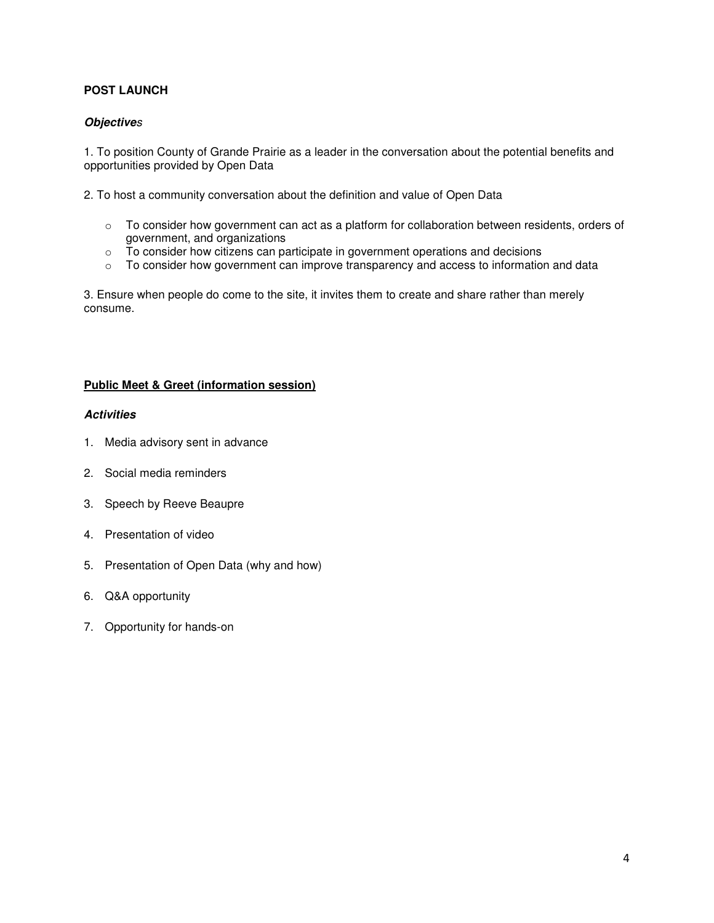# **POST LAUNCH**

### **Objective**s

1. To position County of Grande Prairie as a leader in the conversation about the potential benefits and opportunities provided by Open Data

2. To host a community conversation about the definition and value of Open Data

- o To consider how government can act as a platform for collaboration between residents, orders of government, and organizations
- $\circ$  To consider how citizens can participate in government operations and decisions
- o To consider how government can improve transparency and access to information and data

3. Ensure when people do come to the site, it invites them to create and share rather than merely consume.

#### **Public Meet & Greet (information session)**

#### **Activities**

- 1. Media advisory sent in advance
- 2. Social media reminders
- 3. Speech by Reeve Beaupre
- 4. Presentation of video
- 5. Presentation of Open Data (why and how)
- 6. Q&A opportunity
- 7. Opportunity for hands-on